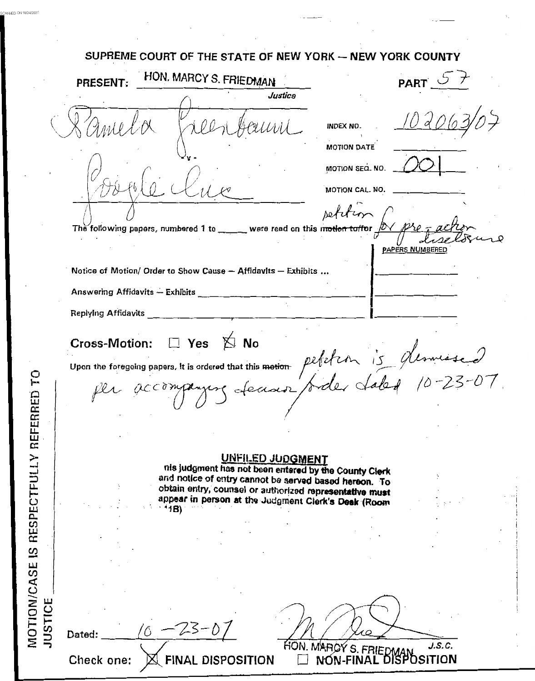SUPREME COURT OF THE STATE OF NEW YORK -- NEW YORK COUNTY HON. MARCY S. FRIEDMAN **PART** PRESENT: **Justice INDEX NO MOTION DATE** MOTION SEQ. NO. MOTION CAL. NO. rete The following papers, numbered 1 to \_\_ were read on this m<del>otion to/fo</del>r PAPERS NUMBERED Notice of Motion/ Order to Show Cause - Affidavits - Exhibits ... Answering Affidavits - Exhibits \_ **Replying Affidavits**  $\Box$  Yes  $\&$  No **Cross-Motion:** Upon the foregoing papers, it is ordered that this motion petetion is desmissed UNFILED JUDGMENT nis judgment has not been entered by the County Clerk and notice of entry cannot be served based hereon. To obtain entry, counsel or authorized representative must appear in person at the Judgment Clerk's Deak (Room  $41B)$ **JUSTICE** ' Ó Dated: HON. MAROY S. FRIEDMAN SUBJECTION Check one: **FINAL DISPOSITION** 

MOTION/CASE IS RESPECTFULLY REFERRED TO

ANNED ON 10/24/200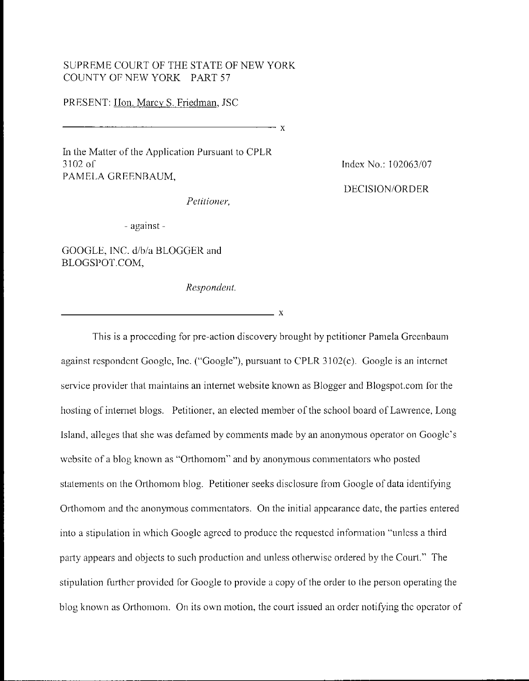## SUPREME COURT OF THE STATE OF NEW YORK COUNTY OF NEW YORK PART 57

## PRESENT: Hon. Marcy S. Friedman, JSC

 $-x$ 

In the Matter of the Application Pursuant to CPLR  $3102$  of PAMELA GREENBAUM,

Index No.: 102063/07

**DECISION/ORDER** 

- against -

GOOGLE, INC. d/b/a BLOGGER and BLOGSPOT.COM,

Respondent.

Petitioner.

 $\overline{\phantom{a}}$  x

This is a proceeding for pre-action discovery brought by petitioner Pamela Greenbaum against respondent Google, Inc. ("Google"), pursuant to CPLR 3102(c). Google is an internet service provider that maintains an internet website known as Blogger and Blogspot.com for the hosting of internet blogs. Petitioner, an elected member of the school board of Lawrence, Long Island, alleges that she was defamed by comments made by an anonymous operator on Google's website of a blog known as "Orthomom" and by anonymous commentators who posted statements on the Orthomom blog. Petitioner seeks disclosure from Google of data identifying Orthomom and the anonymous commentators. On the initial appearance date, the parties entered into a stipulation in which Google agreed to produce the requested information "unless a third party appears and objects to such production and unless otherwise ordered by the Court." The stipulation further provided for Google to provide a copy of the order to the person operating the blog known as Orthomom. On its own motion, the court issued an order notifying the operator of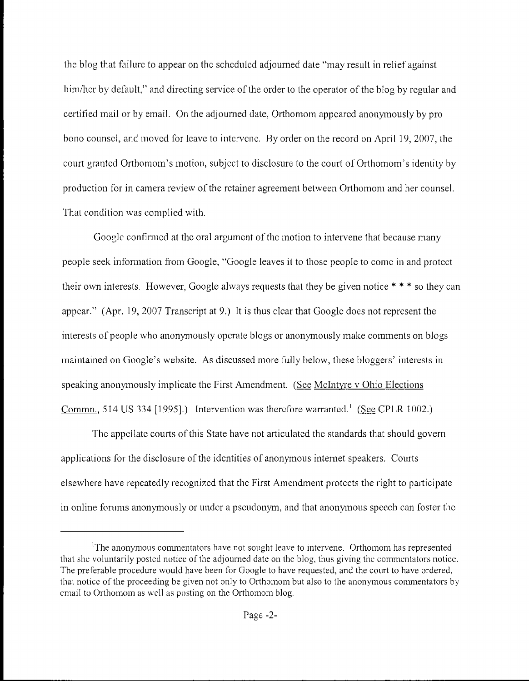the blog that failure to appear on the scheduled adjourned date "may result in relief against him/her by default," and directing service of the order to the operator of the blog by regular and certified mail or by email. On the adjourned date, Orthomom appeared anonymously by pro bono counsel, and moved for leave to intervenc. By order on the record on April 19, 2007, the court granted Orthomom's motion, subject to disclosure to the court of Orthomom's identity by production for in camera review of the retainer agreement between Orthomom and her counsel. That condition was complied with.

Google confirmed at the oral argument of the motion to intervene that because many people seek information from Google, "Google leaves il to those people to come in and protect their own interests. However, Google always requests that they be given notice  $* * *$  so they can appear." (Apr. 19, 2007 Transcript at 9.) It is thus clear that Google does not represent the interests of people who anonymously operate blogs or anonymously make comments on blogs maintained on Google's website. As discussed more fully below, these bloggers' interests in speaking anonymously implicate the First Amendment. (See McIntyre v Ohio Elections Commn., 514 US 334 [1995].) Intervention was therefore warranted.<sup>1</sup> (See CPLR 1002.)

The appellate courts of this State have not articulated the standards that should govern applications for the disclosure of the identities of anonymous internet speakers. Courts elsewhere have repeatedly recognized that the First Amendment protects the right to participate in online forums anonymously or under a pseudonym, and that anonymous speech can foster the

<sup>&</sup>lt;sup>1</sup>The anonymous commentators have not sought leave to intervene. Orthomom has represented that she voluntarily posted notice of the adjourned date on the blog, thus giving the commentators notice. The preferable procedure would have been for Google to have requested, and the court to have ordered, that notice of the proceeding be given not only to Orthomom but also to the anonymous commentators by cmail to Orthomom as well as posting on the Orthomom blog.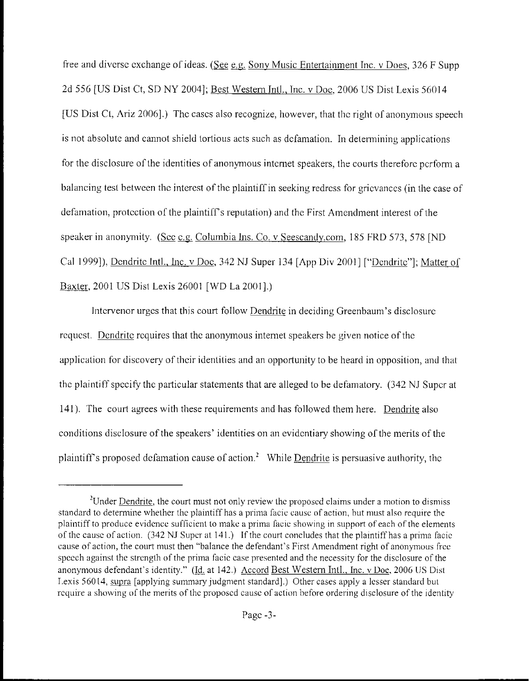free and diverse exchange of ideas. (See e.g. Sony Music Entertainment Inc. v Does, 326 F Supp 2d 556 [US Dist Ct, SD NY 2004]; Best Western Intl., Inc. v Doc, 2006 US Dist Lexis 56014 [US Dist Ct, Ariz 2006].) The cases also recognize, however, that the right of anonymous speech is not absolute and cannot shield tortious acts such as defamation. In determining applications for the disclosure of the identities of anonymous internet speakers, the courts therefore perform a balancing test between the interest of the plaintiff in seeking redress for gricvances (in the case of defamation, protection of the plaintiff's reputation) and the First Amendment interest of the speaker in anonymity. (Scc *c.g. Columbia Ins. Co. v [Seescandy.com,](http://Seescandy.com) 185 FRD 573, 578 [ND* Cal 1999]), Dcndritc Intl., hic. v Doc, 342 NJ Super 134 **[App** Div 20011 ["Dcndritc"]; Matter ol Baxler, 2001 IJS Disl Lexis 26001 [WD La ZOOI].)

Intervenor urges that this court follow Dendrite in deciding Greenbaum's disclosurerequest. Dendrite requires that the anonymous internet speakers be given notice of the application for discovery of their identities and an opportunity to be heard in opposition, and that the plaintiff specify the particular statements that are alleged to be defamatory. (342 NJ Super at 141). The court agrees with these requirements and has followed them here. Dendrite also conditions disclosure of the speakers' identities on an evidentiary showing of the merits of the plaintiff's proposed defamation cause of action.<sup>2</sup> While Dendrite is persuasive authority, the

<sup>&</sup>lt;sup>2</sup>Under Dendrite, the court must not only review the proposed claims under a motion to dismiss standard to determine whether the plaintiff has a prima facic cause of action, but must also require the plaintiff to produce evidence sufficient to make a prima facie showing in support of each of the elements of the cause of action.  $(342 \text{ NJ Super at } 141.)$  If the court concludes that the plaintiff has a prima facie cause of action, the court must then "balance the defendant's First Amendment right of anonymous free spccch against the strcnglh of the prima facie case presented and the necessity for the disclosure of the anonymous defendant's identity." (Id. at 142.) Accord Best Western Intl., Inc. v Doe, 2006 US Dist Lexis 56014, supra [applying summary judgment standard].) Other cases apply a lesser standard but require a showing of the merits of the proposed cause of action before ordering disclosure of the identity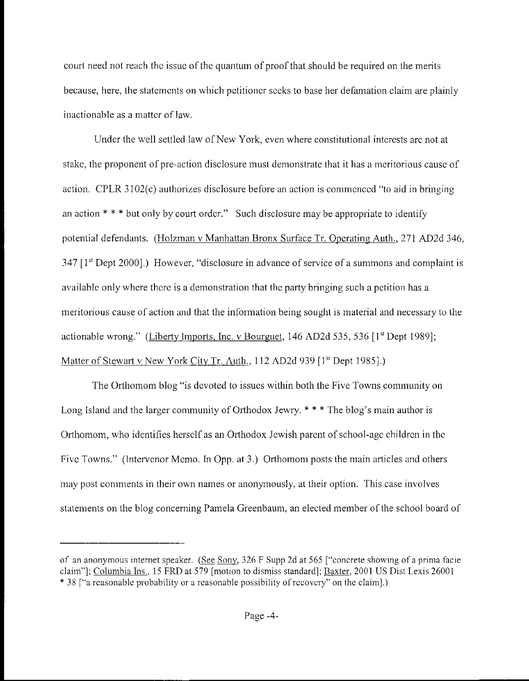court need not reach thc issuc of thc quantum of proof that should be required on the merits because, here, the statements on which petitioner secks to base her defamation claim are plainly inactionable as a matter of law.

Under the well settled law of New York, even where constitutional intcrests arc not at stake, the proponent of pre-action disclosure must demonstrate that it has a meritorious cause of action. CPLR  $3102(c)$  authorizes disclosure before an action is commenced "to aid in bringing an action \* \* \* but only by court ordcr." Such **disclosure** may be appropriate to identify potential defendants. (Holzman v Manhattan Bronx Surface Tr. Operating Auth., 271 AD2d 346, 347 11'' Dept 20001.) However, "disclosure in advance of service of a summons and complaint is available only where there is a demonstration that the party bringing such a petition has a meritorious cause of action and that the information being sought is material and necessary lo the actionable wrong." (Liberty Imports, lnc. v Bourguet, 146 AD2d 535, 536 [1<sup>st</sup> Dept 1989]; Matter of Stewart v New York City Tr. Auth., 112 AD2d 939 [1<sup>st</sup> Dept 1985].)

The Orthomom blog "is devoted to issues within both the Five Towns community on Long Island and the larger community of Orthodox Jewry.  $* * *$  The blog's main author is Orthomom, who identifies herself as an Orthodox Jewish parent of school-age children in the Five Towns." (Intervenor Memo. In Opp. at 3.) Orthomom posts the main articles and others may post comments in their own names or anonymously, at their option. This case involves statements on the blog concerning Pamela Greenbaum, an elected member of the school board of

of an anonymous internet speaker. (See Sony, 326 F Supp 2d at 565 ["concrete showing of a prima facie claim"]; Columbia Ins., 15 FRD at 579 [motion to dismiss standard]; Baxter, 2001 US Dist Lexis 26001 \* 38 ["a reasonable probability or a reasonable possibility of recovery" on the claim].)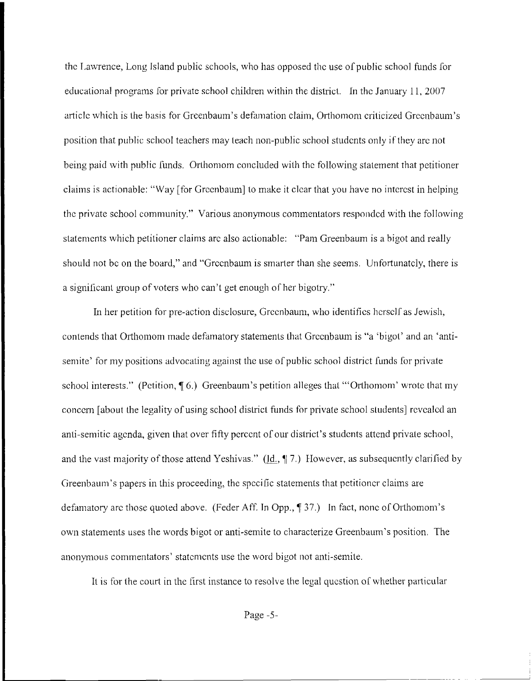the Lawrence, Long Island public schools, who has opposed the use of public school funds for educational programs for private school children within the district. In the January 11, 2007 article which is the basis for Greenbaum's defamation claim, Orthomom criticized Greenbaum's position that public school teachers may teach non-public school students only if they are not being paid with public funds. Orthomom concluded with the following statement that petitioner claims is actionable: "Way [for Greenbaum] to make it clear that you have no interest in helping the private school community." Various anonymous commentators responded with the following statements which petitioner claims arc also actionable: "Pam Greenbaum is a bigot and really should not be on the board," and "Greenbaum is smarter than she seems. Unfortunately, there is a significant group of voters who can't get enough of her bigotry."

In her petition for pre-action disclosure, Greenbaum, who identifies herself as Jewish, contends that Orthomom made defamatory statements that Greenbaum is "a 'bigot' and an 'antisemite' for my positions advocating against the use of public school district funds for private school interests." (Petition,  $\P(6)$ ) Greenbaum's petition alleges that "'Orthomom' wrote that my concern [about the legality of using school district fiinds for private school sludents] rcvcalcd an anti-semitic agenda, given that over fifty percent of our district's students attend private school, and the vast majority of those attend Yeshivas." (Id.,  $\P$  7.) However, as subsequently clarified by Greenbaum's papers in this proceeding, the specific statements that petitioncr- claims are defamatory arc those quoted above. (Feder Aff. In Opp., 137.) In fact, none of Orthomom's own statements uses the words bigot or anti-semite to characterize Greenbaum's position. The anonymous commentators' statements use the word bigot not anti-semite.

It is for the court in the first instance to resolve the legal question of whether particular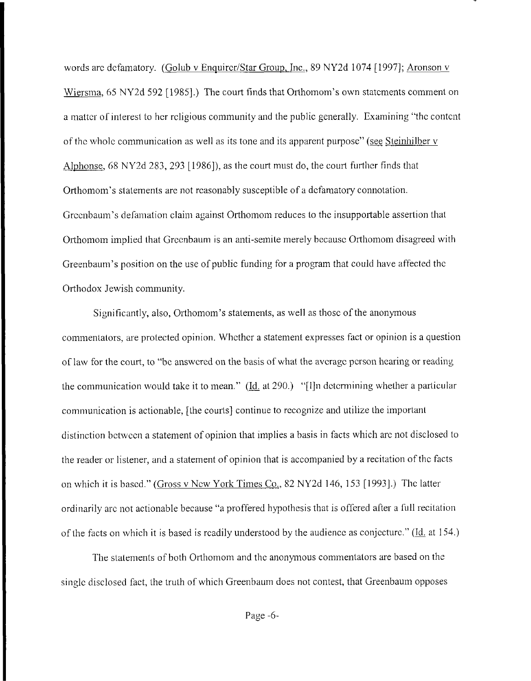words arc defamatory. (Golub v Enquircr/Star Group, Inc., 89 NY2d 1074 [1997]; Aronson v Wiersma, 65 NY2d 592 [1985].) The court finds that Orthomom's own statements comment on a matter of interest to her religious community and the public generally. Examining "the content of the whole communication as well as its tone and its apparent purpose" (see Steinhilber v Alphonse, 68 NY2d 283, 293 [1986]), as the court must do, the court further finds that Orthomom's statements are not reasonably susceptible of a defamatory connotation. Greenbaum's defamation claim against Orthomom reduces to the insupportable assertion that Orthomom implied that Greenbaum is an anti-semite merely because Orthomom disagreed with Greenbaum's position on the use of public funding for a program that could have affected the Orthodox Jewish community.

Significantly, also, Orthomom's statements, as well as those of the anonymous commentators, are protected opinion. Whether a statement expresses fact or opinion is a question of law for the court, to "be answered on the basis of what the average person hearing or reading the communication would take it to mean." ( $\underline{Id}$  at 290.) "[I]n determining whether a particular communication is actionable, [the courts] continue to recognize and utilize the important distinction between a statement of opinion that implies a basis in facts which are not disclosed to the reader or listener, and a statement of opinion that is accompanied by a recitation of the facts on which it is based." (Gross v New York Times Co., 82 NY2d 146, 153 [1993].) The latter ordinarily arc not actionable because "a proffered hypothesis that is offered after a full recitation of the facts on which it is based is readily understood by the audience as conjecture." (Id. at 154.)

The statements of both Orthomom and the anonymous commentators are based on the single disclosed fact, the truth of which Greenbaum does not contest, that Greenbaum opposes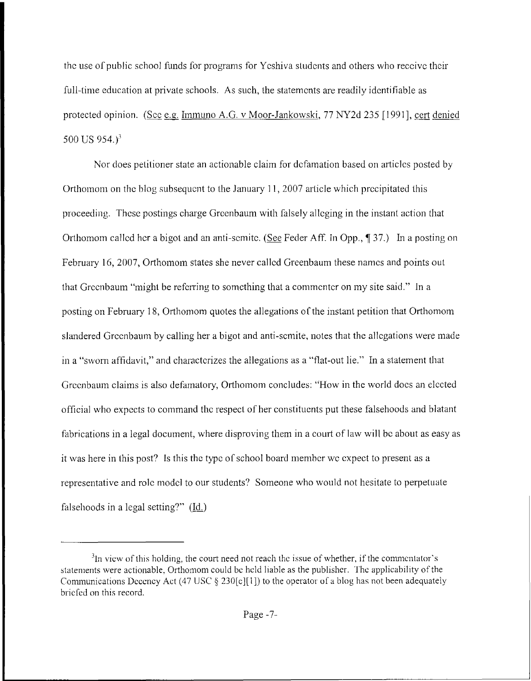the use of public school funds for programs for Yeshiva students and others who reccive their full-time education at private schools. As such, the statements are readily identifiable as protected opinion. (Scc e.g. Immuno A.G. v Moor-Jankowski, 77 NY2d 235 [1991], cert denied *500* US 954.)'

Nor does petitioner state an actionable claim for defamation based on articles posted by Orthomom on the blog subsequent to the January 11, 2007 article which precipitated this proceeding. These postings charge Greenbaum with falsely alleging in the instant action that Orthomom callcd her a bigot and an anti-scmitc. *(See* Feder Aff. **In** Opp., *7* 37.) In a posting on February 16, 2007, Orthomom states she never called Greenbaum these names and points out that Greenbaum "might be referring to something that a commenter on my site said." In a posting on February 18, Orthomom quotes the allegations of the instant petition that Orthomom slandered Greenbaum by calling her a bigot and anti-semite, notes that the allegations were made in a "sworn affidavit," and charactcrizes the allegations as a "flat-out lie." In a statement that Greenbaum claims is also defamatory, Orthomom concludes: "How in the world docs an elected official who expects to command the respect of her constituents put these falsehoods and blatant fabrications in a legal document, where disproving them in a court of law will bc about as easy as it was here in this post? Is this the type of school board member we expect to present as a representative and rolc modcl to our students? Someone who would not hesitate to perpetuate falsehoods in a legal setting?" (Id.)

 $<sup>3</sup>$ In vicw of this holding, the court need not reach the issue of whether, if the commentator's</sup> statements were actionable, Orthomom could be held liable as the publisher. The applicability of the Communications Decency Act (47 USC  $\S$  230[c][1]) to the operator of a blog has not been adequately briefed on this record.